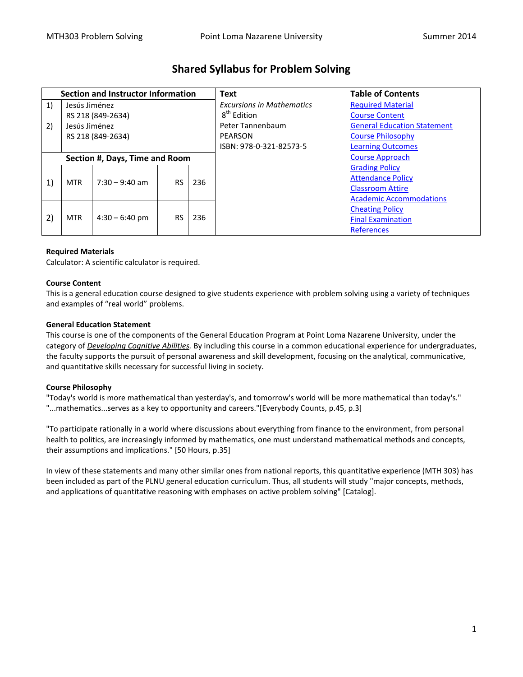| <b>Section and Instructor Information</b> |                   |                  |           |     | <b>Text</b>                      | <b>Table of Contents</b>           |
|-------------------------------------------|-------------------|------------------|-----------|-----|----------------------------------|------------------------------------|
| 1)                                        | Jesús Jiménez     |                  |           |     | <b>Excursions in Mathematics</b> | <b>Required Material</b>           |
|                                           | RS 218 (849-2634) |                  |           |     | 8 <sup>th</sup> Edition          | <b>Course Content</b>              |
| 2)                                        | Jesús Jiménez     |                  |           |     | Peter Tannenbaum                 | <b>General Education Statement</b> |
|                                           | RS 218 (849-2634) |                  |           |     | PEARSON                          | <b>Course Philosophy</b>           |
|                                           |                   |                  |           |     | ISBN: 978-0-321-82573-5          | <b>Learning Outcomes</b>           |
| Section #, Days, Time and Room            |                   |                  |           |     |                                  | <b>Course Approach</b>             |
| 1)                                        | <b>MTR</b>        | $7:30 - 9:40$ am | <b>RS</b> | 236 |                                  | <b>Grading Policy</b>              |
|                                           |                   |                  |           |     |                                  | <b>Attendance Policy</b>           |
|                                           |                   |                  |           |     |                                  | <b>Classroom Attire</b>            |
|                                           |                   |                  |           |     |                                  | <b>Academic Accommodations</b>     |
| 2)                                        | <b>MTR</b>        | $4:30 - 6:40$ pm | <b>RS</b> | 236 |                                  | <b>Cheating Policy</b>             |
|                                           |                   |                  |           |     |                                  | <b>Final Examination</b>           |
|                                           |                   |                  |           |     |                                  | <b>References</b>                  |

# **Shared Syllabus for Problem Solving**

# <span id="page-0-0"></span>**Required Materials**

Calculator: A scientific calculator is required.

## <span id="page-0-1"></span>**Course Content**

This is a general education course designed to give students experience with problem solving using a variety of techniques and examples of "real world" problems.

## <span id="page-0-2"></span>**General Education Statement**

This course is one of the components of the General Education Program at Point Loma Nazarene University, under the category of *Developing Cognitive Abilities.* By including this course in a common educational experience for undergraduates, the faculty supports the pursuit of personal awareness and skill development, focusing on the analytical, communicative, and quantitative skills necessary for successful living in society.

# <span id="page-0-3"></span>**Course Philosophy**

"Today's world is more mathematical than yesterday's, and tomorrow's world will be more mathematical than today's." "...mathematics...serves as a key to opportunity and careers."[Everybody Counts, p.45, p.3]

"To participate rationally in a world where discussions about everything from finance to the environment, from personal health to politics, are increasingly informed by mathematics, one must understand mathematical methods and concepts, their assumptions and implications." [50 Hours, p.35]

In view of these statements and many other similar ones from national reports, this quantitative experience (MTH 303) has been included as part of the PLNU general education curriculum. Thus, all students will study "major concepts, methods, and applications of quantitative reasoning with emphases on active problem solving" [Catalog].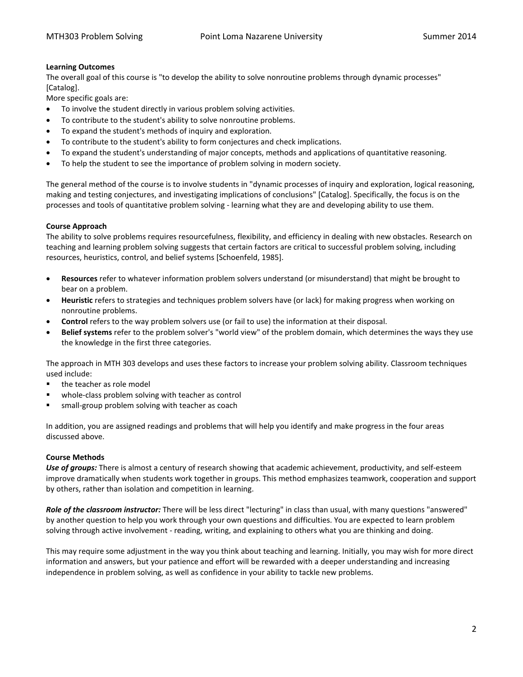# <span id="page-1-0"></span>**Learning Outcomes**

The overall goal of this course is "to develop the ability to solve nonroutine problems through dynamic processes" [Catalog].

More specific goals are:

- To involve the student directly in various problem solving activities.
- To contribute to the student's ability to solve nonroutine problems.
- To expand the student's methods of inquiry and exploration.
- To contribute to the student's ability to form conjectures and check implications.
- To expand the student's understanding of major concepts, methods and applications of quantitative reasoning.
- To help the student to see the importance of problem solving in modern society.

The general method of the course is to involve students in "dynamic processes of inquiry and exploration, logical reasoning, making and testing conjectures, and investigating implications of conclusions" [Catalog]. Specifically, the focus is on the processes and tools of quantitative problem solving - learning what they are and developing ability to use them.

# <span id="page-1-1"></span>**Course Approach**

The ability to solve problems requires resourcefulness, flexibility, and efficiency in dealing with new obstacles. Research on teaching and learning problem solving suggests that certain factors are critical to successful problem solving, including resources, heuristics, control, and belief systems [Schoenfeld, 1985].

- **Resources** refer to whatever information problem solvers understand (or misunderstand) that might be brought to bear on a problem.
- **Heuristic** refers to strategies and techniques problem solvers have (or lack) for making progress when working on nonroutine problems.
- **Control** refers to the way problem solvers use (or fail to use) the information at their disposal.
- **Belief systems** refer to the problem solver's "world view" of the problem domain, which determines the ways they use the knowledge in the first three categories.

The approach in MTH 303 develops and uses these factors to increase your problem solving ability. Classroom techniques used include:

- the teacher as role model
- whole-class problem solving with teacher as control
- small-group problem solving with teacher as coach

In addition, you are assigned readings and problems that will help you identify and make progress in the four areas discussed above.

# **Course Methods**

*Use of groups:* There is almost a century of research showing that academic achievement, productivity, and self-esteem improve dramatically when students work together in groups. This method emphasizes teamwork, cooperation and support by others, rather than isolation and competition in learning.

*Role of the classroom instructor:* There will be less direct "lecturing" in class than usual, with many questions "answered" by another question to help you work through your own questions and difficulties. You are expected to learn problem solving through active involvement - reading, writing, and explaining to others what you are thinking and doing.

This may require some adjustment in the way you think about teaching and learning. Initially, you may wish for more direct information and answers, but your patience and effort will be rewarded with a deeper understanding and increasing independence in problem solving, as well as confidence in your ability to tackle new problems.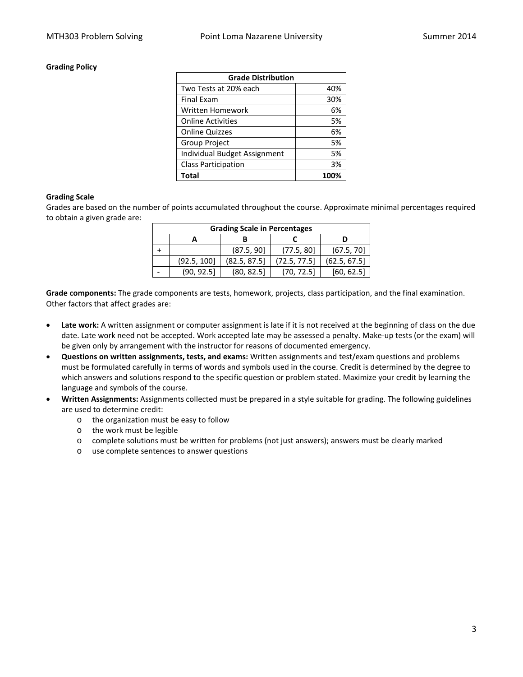## <span id="page-2-0"></span>**Grading Policy**

| <b>Grade Distribution</b>    |      |  |  |
|------------------------------|------|--|--|
| Two Tests at 20% each        | 40%  |  |  |
| <b>Final Exam</b>            | 30%  |  |  |
| Written Homework             | 6%   |  |  |
| <b>Online Activities</b>     | 5%   |  |  |
| <b>Online Quizzes</b>        | 6%   |  |  |
| Group Project                | 5%   |  |  |
| Individual Budget Assignment | 5%   |  |  |
| <b>Class Participation</b>   | 3%   |  |  |
| Total                        | 100% |  |  |

#### **Grading Scale**

Grades are based on the number of points accumulated throughout the course. Approximate minimal percentages required to obtain a given grade are:

| <b>Grading Scale in Percentages</b> |             |              |              |              |  |  |  |  |
|-------------------------------------|-------------|--------------|--------------|--------------|--|--|--|--|
|                                     |             |              |              |              |  |  |  |  |
|                                     |             | (87.5, 90]   | (77.5, 80)   | (67.5, 70)   |  |  |  |  |
|                                     | (92.5, 100] | (82.5, 87.5) | (72.5, 77.5) | (62.5, 67.5) |  |  |  |  |
|                                     | (90, 92.5)  | (80, 82.5)   | (70, 72.5)   | [60, 62.5]   |  |  |  |  |

**Grade components:** The grade components are tests, homework, projects, class participation, and the final examination. Other factors that affect grades are:

- **Late work:** A written assignment or computer assignment is late if it is not received at the beginning of class on the due date. Late work need not be accepted. Work accepted late may be assessed a penalty. Make-up tests (or the exam) will be given only by arrangement with the instructor for reasons of documented emergency.
- **Questions on written assignments, tests, and exams:** Written assignments and test/exam questions and problems must be formulated carefully in terms of words and symbols used in the course. Credit is determined by the degree to which answers and solutions respond to the specific question or problem stated. Maximize your credit by learning the language and symbols of the course.
- **Written Assignments:** Assignments collected must be prepared in a style suitable for grading. The following guidelines are used to determine credit:
	- o the organization must be easy to follow
	- o the work must be legible
	- o complete solutions must be written for problems (not just answers); answers must be clearly marked
	- o use complete sentences to answer questions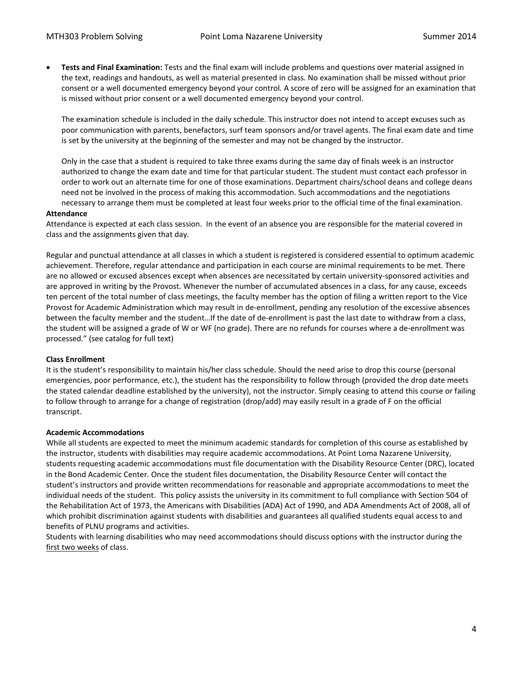• **Tests and Final Examination:** Tests and the final exam will include problems and questions over material assigned in the text, readings and handouts, as well as material presented in class. No examination shall be missed without prior consent or a well documented emergency beyond your control. A score of zero will be assigned for an examination that is missed without prior consent or a well documented emergency beyond your control.

The examination schedule is included in the daily schedule. This instructor does not intend to accept excuses such as poor communication with parents, benefactors, surf team sponsors and/or travel agents. The final exam date and time is set by the university at the beginning of the semester and may not be changed by the instructor.

Only in the case that a student is required to take three exams during the same day of finals week is an instructor authorized to change the exam date and time for that particular student. The student must contact each professor in order to work out an alternate time for one of those examinations. Department chairs/school deans and college deans need not be involved in the process of making this accommodation. Such accommodations and the negotiations necessary to arrange them must be completed at least four weeks prior to the official time of the final examination.

#### <span id="page-3-0"></span>**Attendance**

Attendance is expected at each class session. In the event of an absence you are responsible for the material covered in class and the assignments given that day.

Regular and punctual attendance at all classes in which a student is registered is considered essential to optimum academic achievement. Therefore, regular attendance and participation in each course are minimal requirements to be met. There are no allowed or excused absences except when absences are necessitated by certain university-sponsored activities and are approved in writing by the Provost. Whenever the number of accumulated absences in a class, for any cause, exceeds ten percent of the total number of class meetings, the faculty member has the option of filing a written report to the Vice Provost for Academic Administration which may result in de-enrollment, pending any resolution of the excessive absences between the faculty member and the student…If the date of de-enrollment is past the last date to withdraw from a class, the student will be assigned a grade of W or WF (no grade). There are no refunds for courses where a de-enrollment was processed." (see catalog for full text)

# **Class Enrollment**

It is the student's responsibility to maintain his/her class schedule. Should the need arise to drop this course (personal emergencies, poor performance, etc.), the student has the responsibility to follow through (provided the drop date meets the stated calendar deadline established by the university), not the instructor. Simply ceasing to attend this course or failing to follow through to arrange for a change of registration (drop/add) may easily result in a grade of F on the official transcript.

# **Academic Accommodations**

While all students are expected to meet the minimum academic standards for completion of this course as established by the instructor, students with disabilities may require academic accommodations. At Point Loma Nazarene University, students requesting academic accommodations must file documentation with the Disability Resource Center (DRC), located in the Bond Academic Center. Once the student files documentation, the Disability Resource Center will contact the student's instructors and provide written recommendations for reasonable and appropriate accommodations to meet the individual needs of the student. This policy assists the university in its commitment to full compliance with Section 504 of the Rehabilitation Act of 1973, the Americans with Disabilities (ADA) Act of 1990, and ADA Amendments Act of 2008, all of which prohibit discrimination against students with disabilities and guarantees all qualified students equal access to and benefits of PLNU programs and activities.

<span id="page-3-1"></span>Students with learning disabilities who may need accommodations should discuss options with the instructor during the first two weeks of class.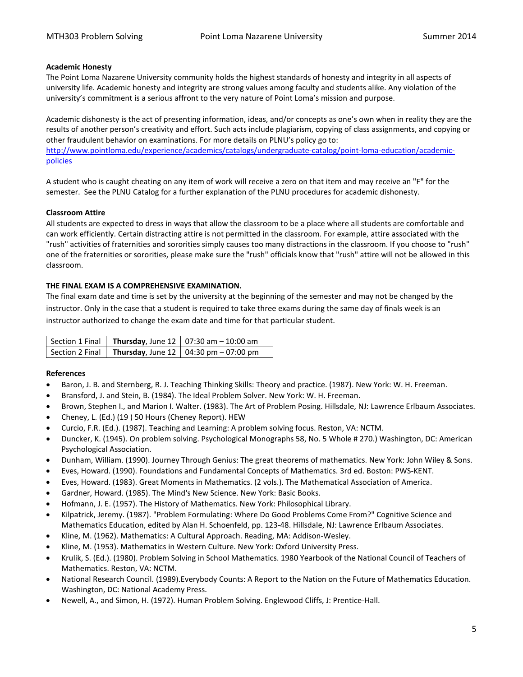# **Academic Honesty**

The Point Loma Nazarene University community holds the highest standards of honesty and integrity in all aspects of university life. Academic honesty and integrity are strong values among faculty and students alike. Any violation of the university's commitment is a serious affront to the very nature of Point Loma's mission and purpose.

Academic dishonesty is the act of presenting information, ideas, and/or concepts as one's own when in reality they are the results of another person's creativity and effort. Such acts include plagiarism, copying of class assignments, and copying or other fraudulent behavior on examinations. For more details on PLNU's policy go to: [http://www.pointloma.edu/experience/academics/catalogs/undergraduate-catalog/point-loma-education/academic](http://www.pointloma.edu/experience/academics/catalogs/undergraduate-catalog/point-loma-education/academic-policies)[policies](http://www.pointloma.edu/experience/academics/catalogs/undergraduate-catalog/point-loma-education/academic-policies)

A student who is caught cheating on any item of work will receive a zero on that item and may receive an "F" for the semester. See the PLNU Catalog for a further explanation of the PLNU procedures for academic dishonesty.

# **Classroom Attire**

All students are expected to dress in ways that allow the classroom to be a place where all students are comfortable and can work efficiently. Certain distracting attire is not permitted in the classroom. For example, attire associated with the "rush" activities of fraternities and sororities simply causes too many distractions in the classroom. If you choose to "rush" one of the fraternities or sororities, please make sure the "rush" officials know that "rush" attire will not be allowed in this classroom.

# <span id="page-4-0"></span>**THE FINAL EXAM IS A COMPREHENSIVE EXAMINATION.**

The final exam date and time is set by the university at the beginning of the semester and may not be changed by the instructor. Only in the case that a student is required to take three exams during the same day of finals week is an instructor authorized to change the exam date and time for that particular student.

|  | Section 1 Final   Thursday, June 12   07:30 am $-$ 10:00 am           |
|--|-----------------------------------------------------------------------|
|  | Section 2 Final $\vert$ Thursday, June 12 $\vert$ 04:30 pm – 07:00 pm |

# <span id="page-4-1"></span>**References**

- Baron, J. B. and Sternberg, R. J. Teaching Thinking Skills: Theory and practice. (1987). New York: W. H. Freeman.
- Bransford, J. and Stein, B. (1984). The Ideal Problem Solver. New York: W. H. Freeman.
- Brown, Stephen I., and Marion I. Walter. (1983). The Art of Problem Posing. Hillsdale, NJ: Lawrence Erlbaum Associates.
- Cheney, L. (Ed.) (19 ) 50 Hours (Cheney Report). HEW
- Curcio, F.R. (Ed.). (1987). Teaching and Learning: A problem solving focus. Reston, VA: NCTM.
- Duncker, K. (1945). On problem solving. Psychological Monographs 58, No. 5 Whole # 270.) Washington, DC: American Psychological Association.
- Dunham, William. (1990). Journey Through Genius: The great theorems of mathematics. New York: John Wiley & Sons.
- Eves, Howard. (1990). Foundations and Fundamental Concepts of Mathematics. 3rd ed. Boston: PWS-KENT.
- Eves, Howard. (1983). Great Moments in Mathematics. (2 vols.). The Mathematical Association of America.
- Gardner, Howard. (1985). The Mind's New Science. New York: Basic Books.
- Hofmann, J. E. (1957). The History of Mathematics. New York: Philosophical Library.
- Kilpatrick, Jeremy. (1987). "Problem Formulating: Where Do Good Problems Come From?" Cognitive Science and Mathematics Education, edited by Alan H. Schoenfeld, pp. 123-48. Hillsdale, NJ: Lawrence Erlbaum Associates.
- Kline, M. (1962). Mathematics: A Cultural Approach. Reading, MA: Addison-Wesley.
- Kline, M. (1953). Mathematics in Western Culture. New York: Oxford University Press.
- Krulik, S. (Ed.). (1980). Problem Solving in School Mathematics. 1980 Yearbook of the National Council of Teachers of Mathematics. Reston, VA: NCTM.
- National Research Council. (1989).Everybody Counts: A Report to the Nation on the Future of Mathematics Education. Washington, DC: National Academy Press.
- Newell, A., and Simon, H. (1972). Human Problem Solving. Englewood Cliffs, J: Prentice-Hall.